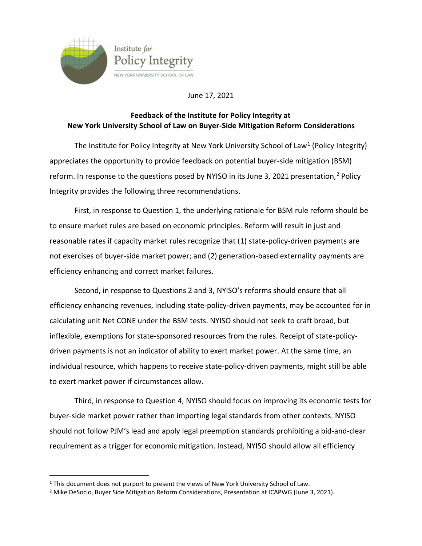

June 17, 2021

## **Feedback of the Institute for Policy Integrity at New York University School of Law on Buyer-Side Mitigation Reform Considerations**

The Institute for Policy Integrity at New York University School of Law<sup>1</sup> (Policy Integrity) appreciates the opportunity to provide feedback on potential buyer-side mitigation (BSM) reform. In response to the questions posed by NYISO in its June 3, 2021 presentation,<sup>2</sup> Policy Integrity provides the following three recommendations.

First, in response to Question 1, the underlying rationale for BSM rule reform should be to ensure market rules are based on economic principles. Reform will result in just and reasonable rates if capacity market rules recognize that (1) state-policy-driven payments are not exercises of buyer-side market power; and (2) generation-based externality payments are efficiency enhancing and correct market failures.

Second, in response to Questions 2 and 3, NYISO's reforms should ensure that all efficiency enhancing revenues, including state-policy-driven payments, may be accounted for in calculating unit Net CONE under the BSM tests. NYISO should not seek to craft broad, but inflexible, exemptions for state-sponsored resources from the rules. Receipt of state-policydriven payments is not an indicator of ability to exert market power. At the same time, an individual resource, which happens to receive state-policy-driven payments, might still be able to exert market power if circumstances allow.

Third, in response to Question 4, NYISO should focus on improving its economic tests for buyer-side market power rather than importing legal standards from other contexts. NYISO should not follow PJM's lead and apply legal preemption standards prohibiting a bid-and-clear requirement as a trigger for economic mitigation. Instead, NYISO should allow all efficiency

<sup>&</sup>lt;sup>1</sup> This document does not purport to present the views of New York University School of Law.

<sup>&</sup>lt;sup>2</sup> Mike DeSocio, Buyer Side Mitigation Reform Considerations, Presentation at ICAPWG (June 3, 2021).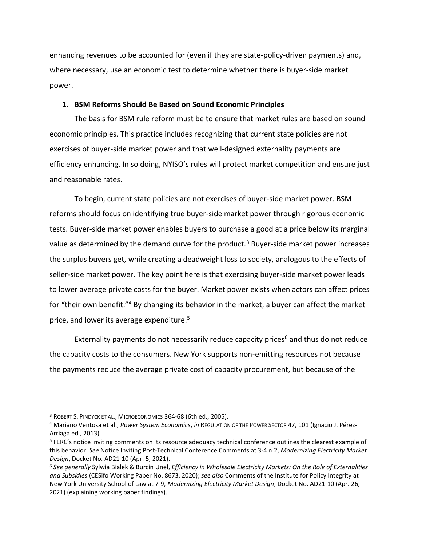enhancing revenues to be accounted for (even if they are state-policy-driven payments) and, where necessary, use an economic test to determine whether there is buyer-side market power.

## **1. BSM Reforms Should Be Based on Sound Economic Principles**

The basis for BSM rule reform must be to ensure that market rules are based on sound economic principles. This practice includes recognizing that current state policies are not exercises of buyer-side market power and that well-designed externality payments are efficiency enhancing. In so doing, NYISO's rules will protect market competition and ensure just and reasonable rates.

To begin, current state policies are not exercises of buyer-side market power. BSM reforms should focus on identifying true buyer-side market power through rigorous economic tests. Buyer-side market power enables buyers to purchase a good at a price below its marginal value as determined by the demand curve for the product.<sup>3</sup> Buyer-side market power increases the surplus buyers get, while creating a deadweight loss to society, analogous to the effects of seller-side market power. The key point here is that exercising buyer-side market power leads to lower average private costs for the buyer. Market power exists when actors can affect prices for "their own benefit."<sup>4</sup> By changing its behavior in the market, a buyer can affect the market price, and lower its average expenditure.<sup>5</sup>

Externality payments do not necessarily reduce capacity prices<sup>6</sup> and thus do not reduce the capacity costs to the consumers. New York supports non-emitting resources not because the payments reduce the average private cost of capacity procurement, but because of the

<sup>3</sup> ROBERT S. PINDYCK ET AL., MICROECONOMICS 364-68 (6th ed., 2005).

<sup>4</sup> Mariano Ventosa et al., *Power System Economics*, *in* REGULATION OF THE POWER SECTOR 47, 101 (Ignacio J. Pérez-Arriaga ed., 2013).

<sup>5</sup> FERC's notice inviting comments on its resource adequacy technical conference outlines the clearest example of this behavior. *See* Notice Inviting Post-Technical Conference Comments at 3-4 n.2, *Modernizing Electricity Market Design*, Docket No. AD21-10 (Apr. 5, 2021).

<sup>6</sup> *See generally* Sylwia Bialek & Burcin Unel, *Efficiency in Wholesale Electricity Markets: On the Role of Externalities and Subsidies* (CESifo Working Paper No. 8673, 2020); *see also* Comments of the Institute for Policy Integrity at New York University School of Law at 7-9, *Modernizing Electricity Market Design*, Docket No. AD21-10 (Apr. 26, 2021) (explaining working paper findings).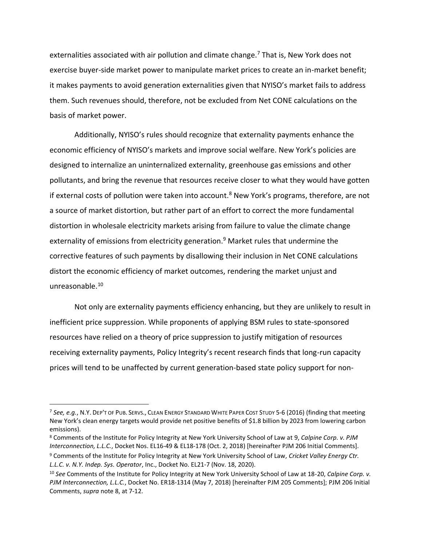externalities associated with air pollution and climate change.<sup>7</sup> That is, New York does not exercise buyer-side market power to manipulate market prices to create an in-market benefit; it makes payments to avoid generation externalities given that NYISO's market fails to address them. Such revenues should, therefore, not be excluded from Net CONE calculations on the basis of market power.

Additionally, NYISO's rules should recognize that externality payments enhance the economic efficiency of NYISO's markets and improve social welfare. New York's policies are designed to internalize an uninternalized externality, greenhouse gas emissions and other pollutants, and bring the revenue that resources receive closer to what they would have gotten if external costs of pollution were taken into account.<sup>8</sup> New York's programs, therefore, are not a source of market distortion, but rather part of an effort to correct the more fundamental distortion in wholesale electricity markets arising from failure to value the climate change externality of emissions from electricity generation. <sup>9</sup> Market rules that undermine the corrective features of such payments by disallowing their inclusion in Net CONE calculations distort the economic efficiency of market outcomes, rendering the market unjust and unreasonable.<sup>10</sup>

Not only are externality payments efficiency enhancing, but they are unlikely to result in inefficient price suppression. While proponents of applying BSM rules to state-sponsored resources have relied on a theory of price suppression to justify mitigation of resources receiving externality payments, Policy Integrity's recent research finds that long-run capacity prices will tend to be unaffected by current generation-based state policy support for non-

<sup>7</sup> *See, e.g.*, N.Y. DEP'T OF PUB. SERVS., CLEAN ENERGY STANDARD WHITE PAPER COST STUDY 5-6 (2016) (finding that meeting New York's clean energy targets would provide net positive benefits of \$1.8 billion by 2023 from lowering carbon emissions).

<sup>8</sup> Comments of the Institute for Policy Integrity at New York University School of Law at 9, *Calpine Corp. v. PJM Interconnection, L.L.C.*, Docket Nos. EL16-49 & EL18-178 (Oct. 2, 2018) [hereinafter PJM 206 Initial Comments]. <sup>9</sup> Comments of the Institute for Policy Integrity at New York University School of Law, *Cricket Valley Energy Ctr. L.L.C. v. N.Y. Indep. Sys. Operator*, Inc., Docket No. EL21-7 (Nov. 18, 2020).

<sup>10</sup> *See* Comments of the Institute for Policy Integrity at New York University School of Law at 18-20, *Calpine Corp. v. PJM Interconnection, L.L.C.*, Docket No. ER18-1314 (May 7, 2018) [hereinafter PJM 205 Comments]; PJM 206 Initial Comments, *supra* note 8, at 7-12.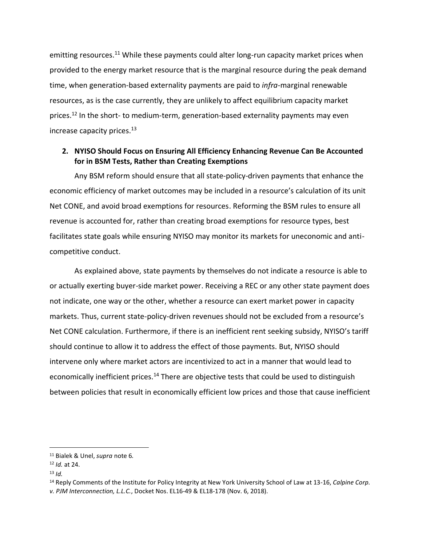emitting resources.<sup>11</sup> While these payments could alter long-run capacity market prices when provided to the energy market resource that is the marginal resource during the peak demand time, when generation-based externality payments are paid to *infra*-marginal renewable resources, as is the case currently, they are unlikely to affect equilibrium capacity market prices.<sup>12</sup> In the short- to medium-term, generation-based externality payments may even increase capacity prices.<sup>13</sup>

## **2. NYISO Should Focus on Ensuring All Efficiency Enhancing Revenue Can Be Accounted for in BSM Tests, Rather than Creating Exemptions**

Any BSM reform should ensure that all state-policy-driven payments that enhance the economic efficiency of market outcomes may be included in a resource's calculation of its unit Net CONE, and avoid broad exemptions for resources. Reforming the BSM rules to ensure all revenue is accounted for, rather than creating broad exemptions for resource types, best facilitates state goals while ensuring NYISO may monitor its markets for uneconomic and anticompetitive conduct.

As explained above, state payments by themselves do not indicate a resource is able to or actually exerting buyer-side market power. Receiving a REC or any other state payment does not indicate, one way or the other, whether a resource can exert market power in capacity markets. Thus, current state-policy-driven revenues should not be excluded from a resource's Net CONE calculation. Furthermore, if there is an inefficient rent seeking subsidy, NYISO's tariff should continue to allow it to address the effect of those payments. But, NYISO should intervene only where market actors are incentivized to act in a manner that would lead to economically inefficient prices.<sup>14</sup> There are objective tests that could be used to distinguish between policies that result in economically efficient low prices and those that cause inefficient

<sup>11</sup> Bialek & Unel, *supra* note 6*.*

<sup>12</sup> *Id.* at 24.

<sup>13</sup> *Id.*

<sup>14</sup> Reply Comments of the Institute for Policy Integrity at New York University School of Law at 13-16, *Calpine Corp. v. PJM Interconnection, L.L.C.*, Docket Nos. EL16-49 & EL18-178 (Nov. 6, 2018).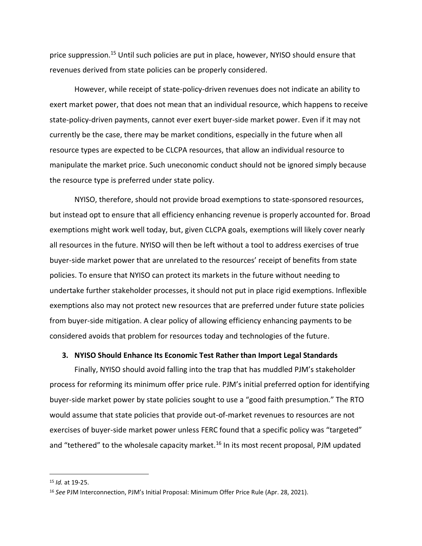price suppression.<sup>15</sup> Until such policies are put in place, however, NYISO should ensure that revenues derived from state policies can be properly considered.

However, while receipt of state-policy-driven revenues does not indicate an ability to exert market power, that does not mean that an individual resource, which happens to receive state-policy-driven payments, cannot ever exert buyer-side market power. Even if it may not currently be the case, there may be market conditions, especially in the future when all resource types are expected to be CLCPA resources, that allow an individual resource to manipulate the market price. Such uneconomic conduct should not be ignored simply because the resource type is preferred under state policy.

NYISO, therefore, should not provide broad exemptions to state-sponsored resources, but instead opt to ensure that all efficiency enhancing revenue is properly accounted for. Broad exemptions might work well today, but, given CLCPA goals, exemptions will likely cover nearly all resources in the future. NYISO will then be left without a tool to address exercises of true buyer-side market power that are unrelated to the resources' receipt of benefits from state policies. To ensure that NYISO can protect its markets in the future without needing to undertake further stakeholder processes, it should not put in place rigid exemptions. Inflexible exemptions also may not protect new resources that are preferred under future state policies from buyer-side mitigation. A clear policy of allowing efficiency enhancing payments to be considered avoids that problem for resources today and technologies of the future.

## **3. NYISO Should Enhance Its Economic Test Rather than Import Legal Standards**

Finally, NYISO should avoid falling into the trap that has muddled PJM's stakeholder process for reforming its minimum offer price rule. PJM's initial preferred option for identifying buyer-side market power by state policies sought to use a "good faith presumption." The RTO would assume that state policies that provide out-of-market revenues to resources are not exercises of buyer-side market power unless FERC found that a specific policy was "targeted" and "tethered" to the wholesale capacity market.<sup>16</sup> In its most recent proposal, PJM updated

<sup>15</sup> *Id.* at 19-25.

<sup>16</sup> *See* PJM Interconnection, PJM's Initial Proposal: Minimum Offer Price Rule (Apr. 28, 2021).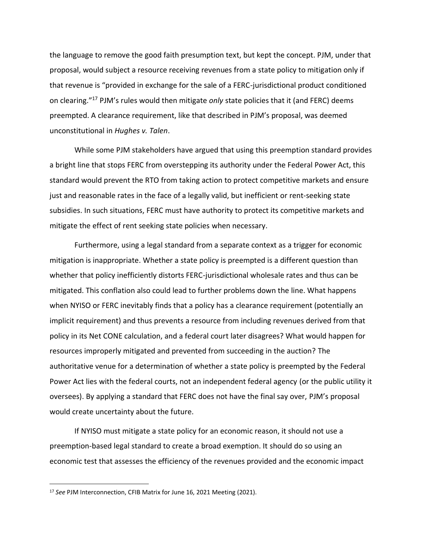the language to remove the good faith presumption text, but kept the concept. PJM, under that proposal, would subject a resource receiving revenues from a state policy to mitigation only if that revenue is "provided in exchange for the sale of a FERC-jurisdictional product conditioned on clearing."<sup>17</sup> PJM's rules would then mitigate *only* state policies that it (and FERC) deems preempted. A clearance requirement, like that described in PJM's proposal, was deemed unconstitutional in *Hughes v. Talen*.

While some PJM stakeholders have argued that using this preemption standard provides a bright line that stops FERC from overstepping its authority under the Federal Power Act, this standard would prevent the RTO from taking action to protect competitive markets and ensure just and reasonable rates in the face of a legally valid, but inefficient or rent-seeking state subsidies. In such situations, FERC must have authority to protect its competitive markets and mitigate the effect of rent seeking state policies when necessary.

Furthermore, using a legal standard from a separate context as a trigger for economic mitigation is inappropriate. Whether a state policy is preempted is a different question than whether that policy inefficiently distorts FERC-jurisdictional wholesale rates and thus can be mitigated. This conflation also could lead to further problems down the line. What happens when NYISO or FERC inevitably finds that a policy has a clearance requirement (potentially an implicit requirement) and thus prevents a resource from including revenues derived from that policy in its Net CONE calculation, and a federal court later disagrees? What would happen for resources improperly mitigated and prevented from succeeding in the auction? The authoritative venue for a determination of whether a state policy is preempted by the Federal Power Act lies with the federal courts, not an independent federal agency (or the public utility it oversees). By applying a standard that FERC does not have the final say over, PJM's proposal would create uncertainty about the future.

If NYISO must mitigate a state policy for an economic reason, it should not use a preemption-based legal standard to create a broad exemption. It should do so using an economic test that assesses the efficiency of the revenues provided and the economic impact

<sup>17</sup> *See* PJM Interconnection, CFIB Matrix for June 16, 2021 Meeting (2021).